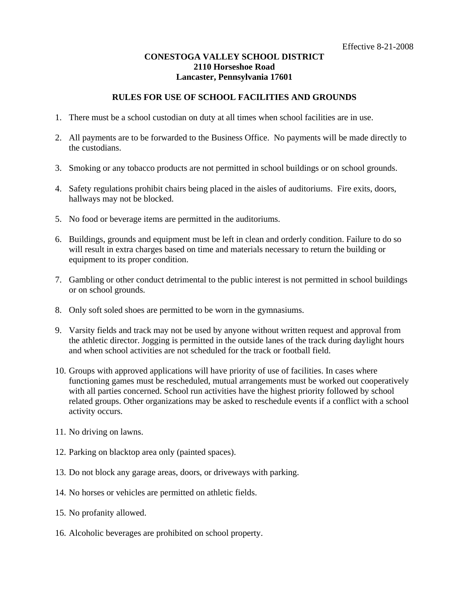## **CONESTOGA VALLEY SCHOOL DISTRICT 2110 Horseshoe Road Lancaster, Pennsylvania 17601**

## **RULES FOR USE OF SCHOOL FACILITIES AND GROUNDS**

- 1. There must be a school custodian on duty at all times when school facilities are in use.
- 2. All payments are to be forwarded to the Business Office. No payments will be made directly to the custodians.
- 3. Smoking or any tobacco products are not permitted in school buildings or on school grounds.
- 4. Safety regulations prohibit chairs being placed in the aisles of auditoriums. Fire exits, doors, hallways may not be blocked.
- 5. No food or beverage items are permitted in the auditoriums.
- 6. Buildings, grounds and equipment must be left in clean and orderly condition. Failure to do so will result in extra charges based on time and materials necessary to return the building or equipment to its proper condition.
- 7. Gambling or other conduct detrimental to the public interest is not permitted in school buildings or on school grounds.
- 8. Only soft soled shoes are permitted to be worn in the gymnasiums.
- 9. Varsity fields and track may not be used by anyone without written request and approval from the athletic director. Jogging is permitted in the outside lanes of the track during daylight hours and when school activities are not scheduled for the track or football field.
- 10. Groups with approved applications will have priority of use of facilities. In cases where functioning games must be rescheduled, mutual arrangements must be worked out cooperatively with all parties concerned. School run activities have the highest priority followed by school related groups. Other organizations may be asked to reschedule events if a conflict with a school activity occurs.
- 11. No driving on lawns.
- 12. Parking on blacktop area only (painted spaces).
- 13. Do not block any garage areas, doors, or driveways with parking.
- 14. No horses or vehicles are permitted on athletic fields.
- 15. No profanity allowed.
- 16. Alcoholic beverages are prohibited on school property.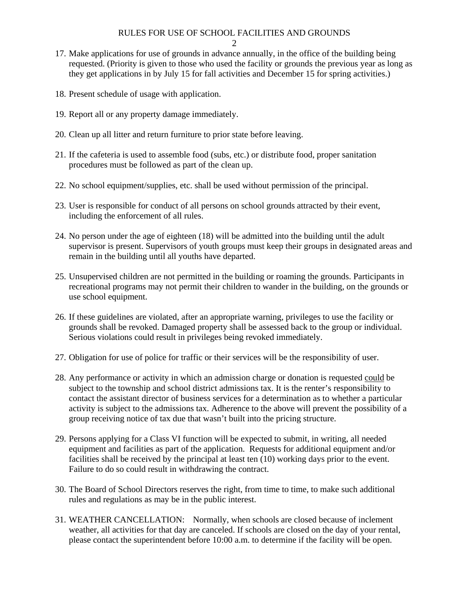## RULES FOR USE OF SCHOOL FACILITIES AND GROUNDS

- 17. Make applications for use of grounds in advance annually, in the office of the building being requested. (Priority is given to those who used the facility or grounds the previous year as long as they get applications in by July 15 for fall activities and December 15 for spring activities.)
- 18. Present schedule of usage with application.
- 19. Report all or any property damage immediately.
- 20. Clean up all litter and return furniture to prior state before leaving.
- 21. If the cafeteria is used to assemble food (subs, etc.) or distribute food, proper sanitation procedures must be followed as part of the clean up.
- 22. No school equipment/supplies, etc. shall be used without permission of the principal.
- 23. User is responsible for conduct of all persons on school grounds attracted by their event, including the enforcement of all rules.
- 24. No person under the age of eighteen (18) will be admitted into the building until the adult supervisor is present. Supervisors of youth groups must keep their groups in designated areas and remain in the building until all youths have departed.
- 25. Unsupervised children are not permitted in the building or roaming the grounds. Participants in recreational programs may not permit their children to wander in the building, on the grounds or use school equipment.
- 26. If these guidelines are violated, after an appropriate warning, privileges to use the facility or grounds shall be revoked. Damaged property shall be assessed back to the group or individual. Serious violations could result in privileges being revoked immediately.
- 27. Obligation for use of police for traffic or their services will be the responsibility of user.
- 28. Any performance or activity in which an admission charge or donation is requested could be subject to the township and school district admissions tax. It is the renter's responsibility to contact the assistant director of business services for a determination as to whether a particular activity is subject to the admissions tax. Adherence to the above will prevent the possibility of a group receiving notice of tax due that wasn't built into the pricing structure.
- 29. Persons applying for a Class VI function will be expected to submit, in writing, all needed equipment and facilities as part of the application. Requests for additional equipment and/or facilities shall be received by the principal at least ten (10) working days prior to the event. Failure to do so could result in withdrawing the contract.
- 30. The Board of School Directors reserves the right, from time to time, to make such additional rules and regulations as may be in the public interest.
- 31. WEATHER CANCELLATION: Normally, when schools are closed because of inclement weather, all activities for that day are canceled. If schools are closed on the day of your rental, please contact the superintendent before 10:00 a.m. to determine if the facility will be open.